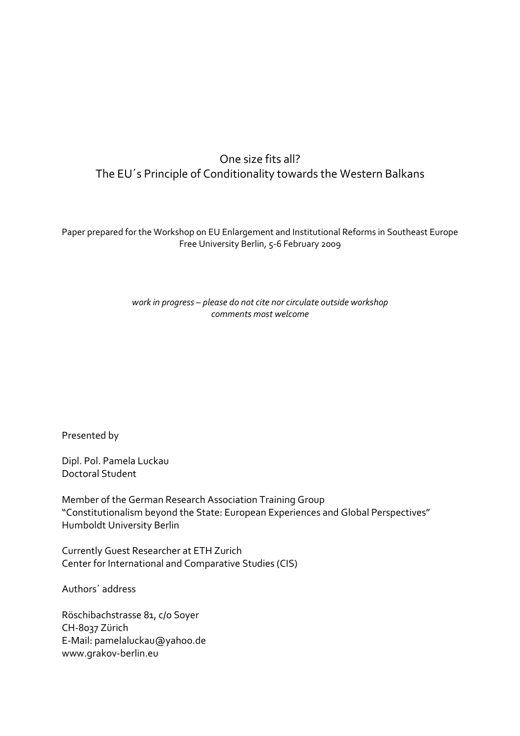## One size fits all? The EU´s Principle of Conditionality towards the Western Balkans

Paper prepared for the Workshop on EU Enlargement and Institutional Reforms in Southeast Europe Free University Berlin, 5-6 February 2009

> work in progress – please do not cite nor circulate outside workshop comments most welcome

Presented by

Dipl. Pol. Pamela Luckau Doctoral Student

Member of the German Research Association Training Group "Constitutionalism beyond the State: European Experiences and Global Perspectives" Humboldt University Berlin

Currently Guest Researcher at ETH Zurich Center for International and Comparative Studies (CIS)

Authors´ address

Röschibachstrasse 81, c/o Soyer CH-8037 Zürich E-Mail: pamelaluckau@yahoo.de www.grakov-berlin.eu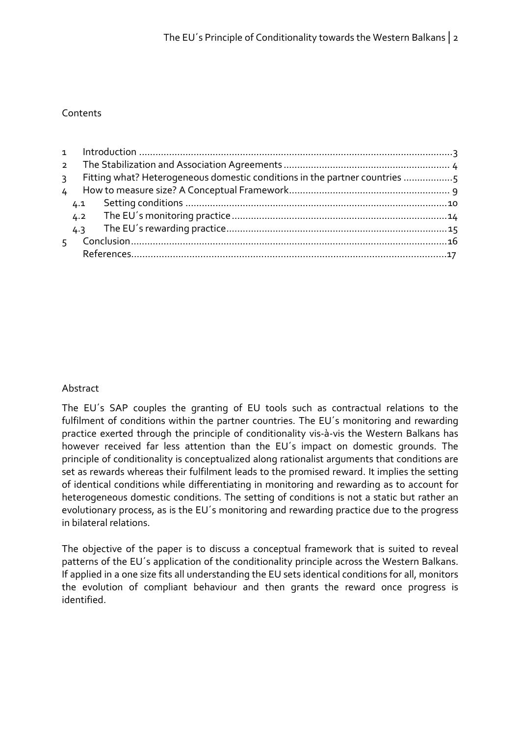## Contents

| $\mathcal{E}$  |     | Fitting what? Heterogeneous domestic conditions in the partner countries 5 |  |  |  |  |  |
|----------------|-----|----------------------------------------------------------------------------|--|--|--|--|--|
| $\frac{1}{2}$  |     |                                                                            |  |  |  |  |  |
|                | 4.1 |                                                                            |  |  |  |  |  |
|                | 4.2 |                                                                            |  |  |  |  |  |
|                | 4.3 |                                                                            |  |  |  |  |  |
| $\overline{5}$ |     |                                                                            |  |  |  |  |  |
|                |     |                                                                            |  |  |  |  |  |

## Abstract

The EU´s SAP couples the granting of EU tools such as contractual relations to the fulfilment of conditions within the partner countries. The EU´s monitoring and rewarding practice exerted through the principle of conditionality vis-à-vis the Western Balkans has however received far less attention than the EU´s impact on domestic grounds. The principle of conditionality is conceptualized along rationalist arguments that conditions are set as rewards whereas their fulfilment leads to the promised reward. It implies the setting of identical conditions while differentiating in monitoring and rewarding as to account for heterogeneous domestic conditions. The setting of conditions is not a static but rather an evolutionary process, as is the EU´s monitoring and rewarding practice due to the progress in bilateral relations.

The objective of the paper is to discuss a conceptual framework that is suited to reveal patterns of the EU´s application of the conditionality principle across the Western Balkans. If applied in a one size fits all understanding the EU sets identical conditions for all, monitors the evolution of compliant behaviour and then grants the reward once progress is identified.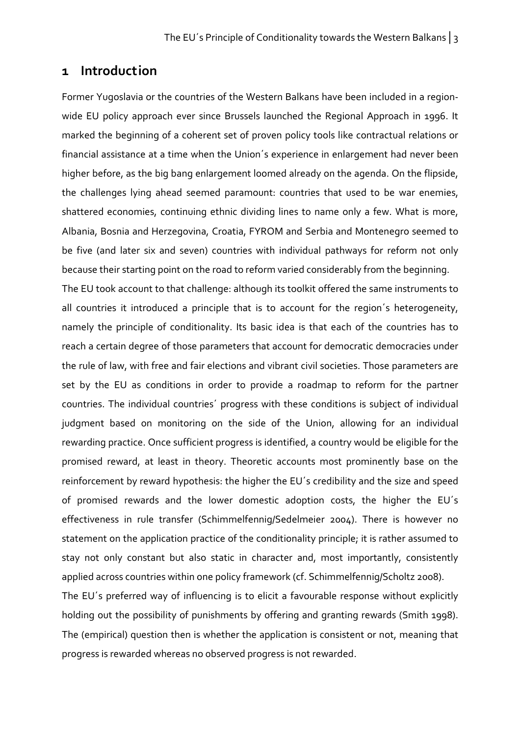## 1 Introduction

Former Yugoslavia or the countries of the Western Balkans have been included in a regionwide EU policy approach ever since Brussels launched the Regional Approach in 1996. It marked the beginning of a coherent set of proven policy tools like contractual relations or financial assistance at a time when the Union´s experience in enlargement had never been higher before, as the big bang enlargement loomed already on the agenda. On the flipside, the challenges lying ahead seemed paramount: countries that used to be war enemies, shattered economies, continuing ethnic dividing lines to name only a few. What is more, Albania, Bosnia and Herzegovina, Croatia, FYROM and Serbia and Montenegro seemed to be five (and later six and seven) countries with individual pathways for reform not only because their starting point on the road to reform varied considerably from the beginning.

The EU took account to that challenge: although its toolkit offered the same instruments to all countries it introduced a principle that is to account for the region´s heterogeneity, namely the principle of conditionality. Its basic idea is that each of the countries has to reach a certain degree of those parameters that account for democratic democracies under the rule of law, with free and fair elections and vibrant civil societies. Those parameters are set by the EU as conditions in order to provide a roadmap to reform for the partner countries. The individual countries´ progress with these conditions is subject of individual judgment based on monitoring on the side of the Union, allowing for an individual rewarding practice. Once sufficient progress is identified, a country would be eligible for the promised reward, at least in theory. Theoretic accounts most prominently base on the reinforcement by reward hypothesis: the higher the EU´s credibility and the size and speed of promised rewards and the lower domestic adoption costs, the higher the EU´s effectiveness in rule transfer (Schimmelfennig/Sedelmeier 2004). There is however no statement on the application practice of the conditionality principle; it is rather assumed to stay not only constant but also static in character and, most importantly, consistently applied across countries within one policy framework (cf. Schimmelfennig/Scholtz 2008).

The EU´s preferred way of influencing is to elicit a favourable response without explicitly holding out the possibility of punishments by offering and granting rewards (Smith 1998). The (empirical) question then is whether the application is consistent or not, meaning that progress is rewarded whereas no observed progress is not rewarded.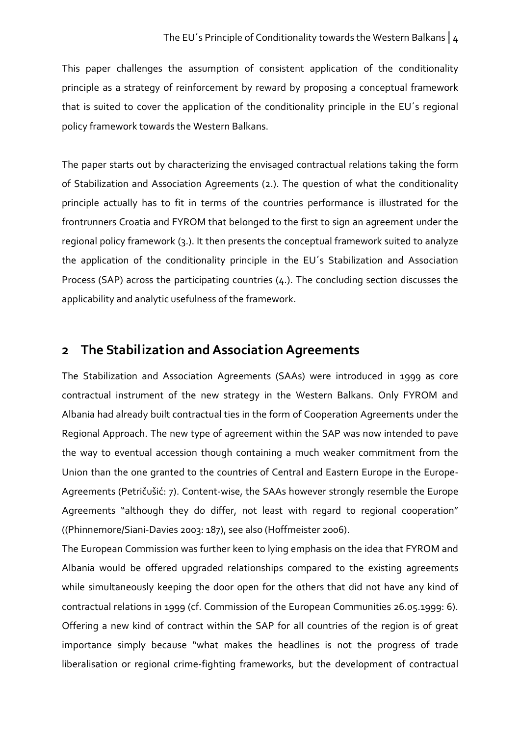This paper challenges the assumption of consistent application of the conditionality principle as a strategy of reinforcement by reward by proposing a conceptual framework that is suited to cover the application of the conditionality principle in the EU´s regional policy framework towards the Western Balkans.

The paper starts out by characterizing the envisaged contractual relations taking the form of Stabilization and Association Agreements (2.). The question of what the conditionality principle actually has to fit in terms of the countries performance is illustrated for the frontrunners Croatia and FYROM that belonged to the first to sign an agreement under the regional policy framework (3.). It then presents the conceptual framework suited to analyze the application of the conditionality principle in the EU´s Stabilization and Association Process (SAP) across the participating countries (4.). The concluding section discusses the applicability and analytic usefulness of the framework.

## 2 The Stabilization and Association Agreements

The Stabilization and Association Agreements (SAAs) were introduced in 1999 as core contractual instrument of the new strategy in the Western Balkans. Only FYROM and Albania had already built contractual ties in the form of Cooperation Agreements under the Regional Approach. The new type of agreement within the SAP was now intended to pave the way to eventual accession though containing a much weaker commitment from the Union than the one granted to the countries of Central and Eastern Europe in the Europe-Agreements (Petričušić: 7). Content-wise, the SAAs however strongly resemble the Europe Agreements "although they do differ, not least with regard to regional cooperation" ((Phinnemore/Siani-Davies 2003: 187), see also (Hoffmeister 2006).

The European Commission was further keen to lying emphasis on the idea that FYROM and Albania would be offered upgraded relationships compared to the existing agreements while simultaneously keeping the door open for the others that did not have any kind of contractual relations in 1999 (cf. Commission of the European Communities 26.05.1999: 6). Offering a new kind of contract within the SAP for all countries of the region is of great importance simply because "what makes the headlines is not the progress of trade liberalisation or regional crime-fighting frameworks, but the development of contractual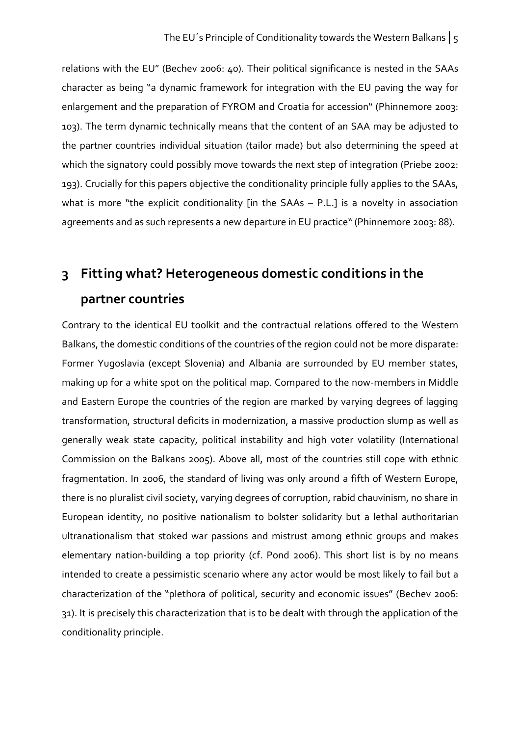relations with the EU" (Bechev 2006: 40). Their political significance is nested in the SAAs character as being "a dynamic framework for integration with the EU paving the way for enlargement and the preparation of FYROM and Croatia for accession" (Phinnemore 2003: 103). The term dynamic technically means that the content of an SAA may be adjusted to the partner countries individual situation (tailor made) but also determining the speed at which the signatory could possibly move towards the next step of integration (Priebe 2002: 193). Crucially for this papers objective the conditionality principle fully applies to the SAAs, what is more "the explicit conditionality [in the SAAs – P.L.] is a novelty in association agreements and as such represents a new departure in EU practice" (Phinnemore 2003: 88).

# 3 Fitting what? Heterogeneous domestic conditions in the partner countries

Contrary to the identical EU toolkit and the contractual relations offered to the Western Balkans, the domestic conditions of the countries of the region could not be more disparate: Former Yugoslavia (except Slovenia) and Albania are surrounded by EU member states, making up for a white spot on the political map. Compared to the now-members in Middle and Eastern Europe the countries of the region are marked by varying degrees of lagging transformation, structural deficits in modernization, a massive production slump as well as generally weak state capacity, political instability and high voter volatility (International Commission on the Balkans 2005). Above all, most of the countries still cope with ethnic fragmentation. In 2006, the standard of living was only around a fifth of Western Europe, there is no pluralist civil society, varying degrees of corruption, rabid chauvinism, no share in European identity, no positive nationalism to bolster solidarity but a lethal authoritarian ultranationalism that stoked war passions and mistrust among ethnic groups and makes elementary nation-building a top priority (cf. Pond 2006). This short list is by no means intended to create a pessimistic scenario where any actor would be most likely to fail but a characterization of the "plethora of political, security and economic issues" (Bechev 2006: 31). It is precisely this characterization that is to be dealt with through the application of the conditionality principle.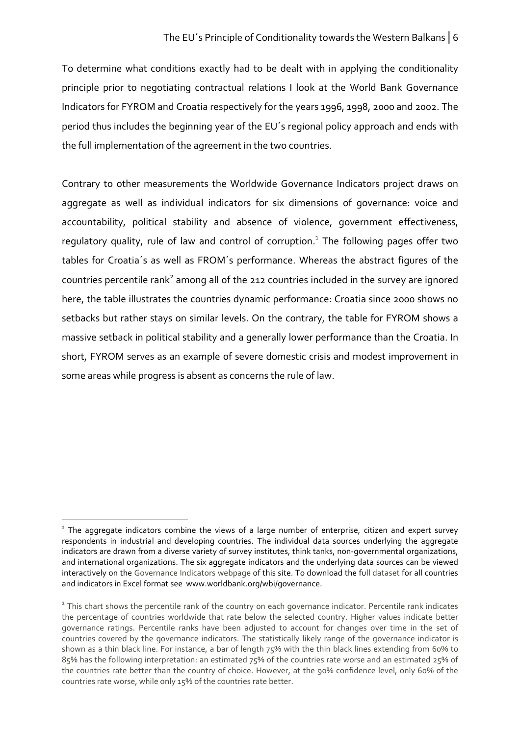To determine what conditions exactly had to be dealt with in applying the conditionality principle prior to negotiating contractual relations I look at the World Bank Governance Indicators for FYROM and Croatia respectively for the years 1996, 1998, 2000 and 2002. The period thus includes the beginning year of the EU´s regional policy approach and ends with the full implementation of the agreement in the two countries.

Contrary to other measurements the Worldwide Governance Indicators project draws on aggregate as well as individual indicators for six dimensions of governance: voice and accountability, political stability and absence of violence, government effectiveness, regulatory quality, rule of law and control of corruption.<sup>1</sup> The following pages offer two tables for Croatia´s as well as FROM´s performance. Whereas the abstract figures of the countries percentile rank<sup>2</sup> among all of the 212 countries included in the survey are ignored here, the table illustrates the countries dynamic performance: Croatia since 2000 shows no setbacks but rather stays on similar levels. On the contrary, the table for FYROM shows a massive setback in political stability and a generally lower performance than the Croatia. In short, FYROM serves as an example of severe domestic crisis and modest improvement in some areas while progress is absent as concerns the rule of law.

 $\overline{a}$ 

 $^{\text{\tiny{1}}}$  The aggregate indicators combine the views of a large number of enterprise, citizen and expert survey respondents in industrial and developing countries. The individual data sources underlying the aggregate indicators are drawn from a diverse variety of survey institutes, think tanks, non-governmental organizations, and international organizations. The six aggregate indicators and the underlying data sources can be viewed interactively on the Governance Indicators webpage of this site. To download the full dataset for all countries and indicators in Excel format see www.worldbank.org/wbi/governance.

<sup>&</sup>lt;sup>2</sup> This chart shows the percentile rank of the country on each governance indicator. Percentile rank indicates the percentage of countries worldwide that rate below the selected country. Higher values indicate better governance ratings. Percentile ranks have been adjusted to account for changes over time in the set of countries covered by the governance indicators. The statistically likely range of the governance indicator is shown as a thin black line. For instance, a bar of length 75% with the thin black lines extending from 60% to 85% has the following interpretation: an estimated 75% of the countries rate worse and an estimated 25% of the countries rate better than the country of choice. However, at the 90% confidence level, only 60% of the countries rate worse, while only 15% of the countries rate better.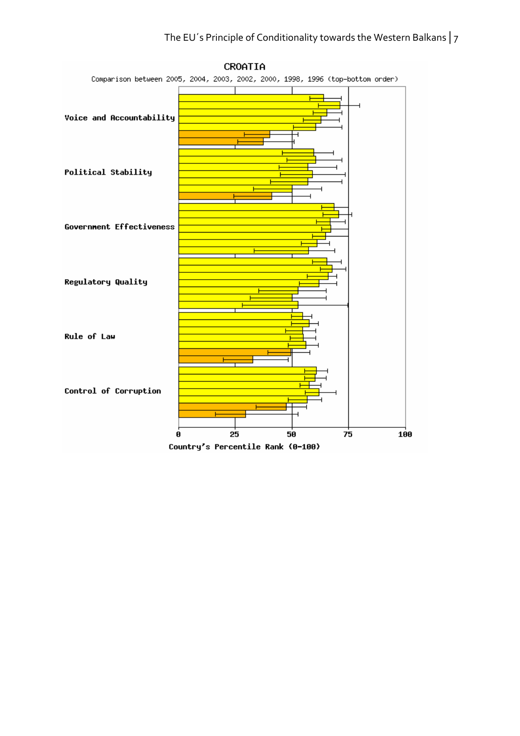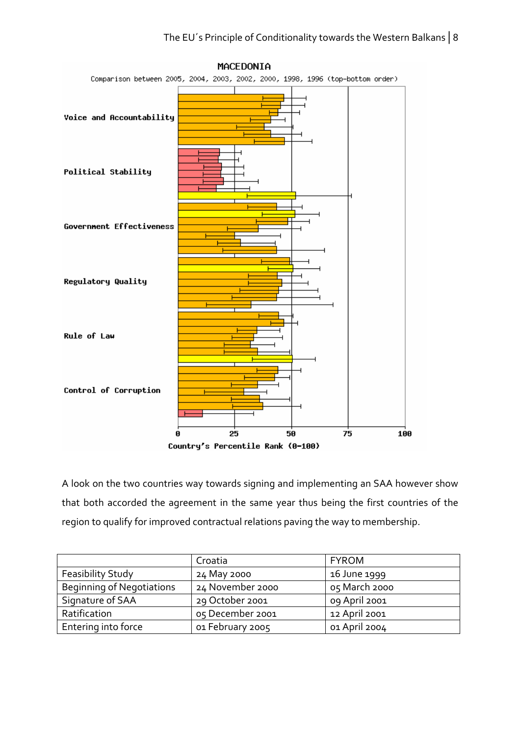

MACEDONIA

A look on the two countries way towards signing and implementing an SAA however show that both accorded the agreement in the same year thus being the first countries of the region to qualify for improved contractual relations paving the way to membership.

|                                  | Croatia          | <b>FYROM</b>  |
|----------------------------------|------------------|---------------|
| Feasibility Study                | 24 May 2000      | 16 June 1999  |
| <b>Beginning of Negotiations</b> | 24 November 2000 | 05 March 2000 |
| Signature of SAA                 | 29 October 2001  | 09 April 2001 |
| Ratification                     | 05 December 2001 | 12 April 2001 |
| Entering into force              | 01 February 2005 | 01 April 2004 |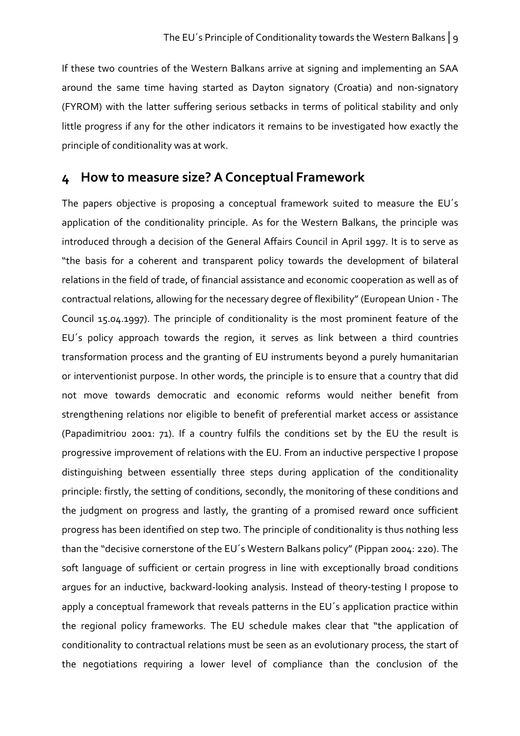If these two countries of the Western Balkans arrive at signing and implementing an SAA around the same time having started as Dayton signatory (Croatia) and non-signatory (FYROM) with the latter suffering serious setbacks in terms of political stability and only little progress if any for the other indicators it remains to be investigated how exactly the principle of conditionality was at work.

## 4 How to measure size? A Conceptual Framework

The papers objective is proposing a conceptual framework suited to measure the EU´s application of the conditionality principle. As for the Western Balkans, the principle was introduced through a decision of the General Affairs Council in April 1997. It is to serve as "the basis for a coherent and transparent policy towards the development of bilateral relations in the field of trade, of financial assistance and economic cooperation as well as of contractual relations, allowing for the necessary degree of flexibility" (European Union - The Council 15.04.1997). The principle of conditionality is the most prominent feature of the EU´s policy approach towards the region, it serves as link between a third countries transformation process and the granting of EU instruments beyond a purely humanitarian or interventionist purpose. In other words, the principle is to ensure that a country that did not move towards democratic and economic reforms would neither benefit from strengthening relations nor eligible to benefit of preferential market access or assistance (Papadimitriou 2001: 71). If a country fulfils the conditions set by the EU the result is progressive improvement of relations with the EU. From an inductive perspective I propose distinguishing between essentially three steps during application of the conditionality principle: firstly, the setting of conditions, secondly, the monitoring of these conditions and the judgment on progress and lastly, the granting of a promised reward once sufficient progress has been identified on step two. The principle of conditionality is thus nothing less than the "decisive cornerstone of the EU´s Western Balkans policy" (Pippan 2004: 220). The soft language of sufficient or certain progress in line with exceptionally broad conditions argues for an inductive, backward-looking analysis. Instead of theory-testing I propose to apply a conceptual framework that reveals patterns in the EU's application practice within the regional policy frameworks. The EU schedule makes clear that "the application of conditionality to contractual relations must be seen as an evolutionary process, the start of the negotiations requiring a lower level of compliance than the conclusion of the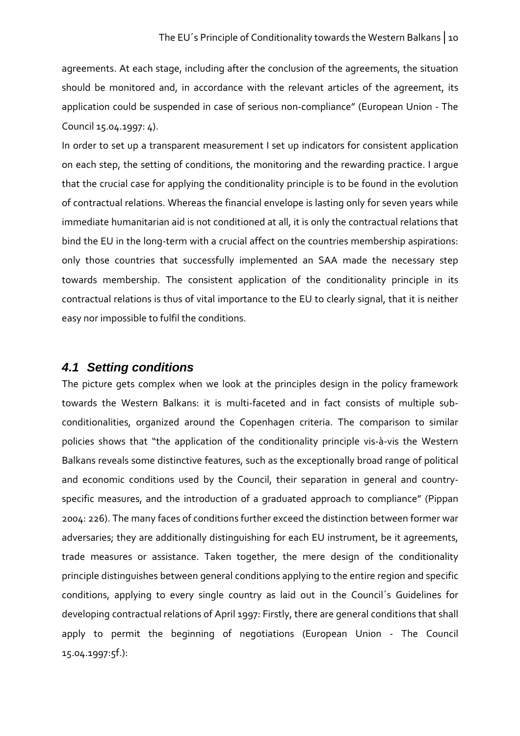agreements. At each stage, including after the conclusion of the agreements, the situation should be monitored and, in accordance with the relevant articles of the agreement, its application could be suspended in case of serious non-compliance" (European Union - The Council 15.04.1997: 4).

In order to set up a transparent measurement I set up indicators for consistent application on each step, the setting of conditions, the monitoring and the rewarding practice. I argue that the crucial case for applying the conditionality principle is to be found in the evolution of contractual relations. Whereas the financial envelope is lasting only for seven years while immediate humanitarian aid is not conditioned at all, it is only the contractual relations that bind the EU in the long-term with a crucial affect on the countries membership aspirations: only those countries that successfully implemented an SAA made the necessary step towards membership. The consistent application of the conditionality principle in its contractual relations is thus of vital importance to the EU to clearly signal, that it is neither easy nor impossible to fulfil the conditions.

### **4.1 Setting conditions**

The picture gets complex when we look at the principles design in the policy framework towards the Western Balkans: it is multi-faceted and in fact consists of multiple subconditionalities, organized around the Copenhagen criteria. The comparison to similar policies shows that "the application of the conditionality principle vis-à-vis the Western Balkans reveals some distinctive features, such as the exceptionally broad range of political and economic conditions used by the Council, their separation in general and countryspecific measures, and the introduction of a graduated approach to compliance" (Pippan 2004: 226). The many faces of conditions further exceed the distinction between former war adversaries; they are additionally distinguishing for each EU instrument, be it agreements, trade measures or assistance. Taken together, the mere design of the conditionality principle distinguishes between general conditions applying to the entire region and specific conditions, applying to every single country as laid out in the Council´s Guidelines for developing contractual relations of April 1997: Firstly, there are general conditions that shall apply to permit the beginning of negotiations (European Union - The Council 15.04.1997:5f.):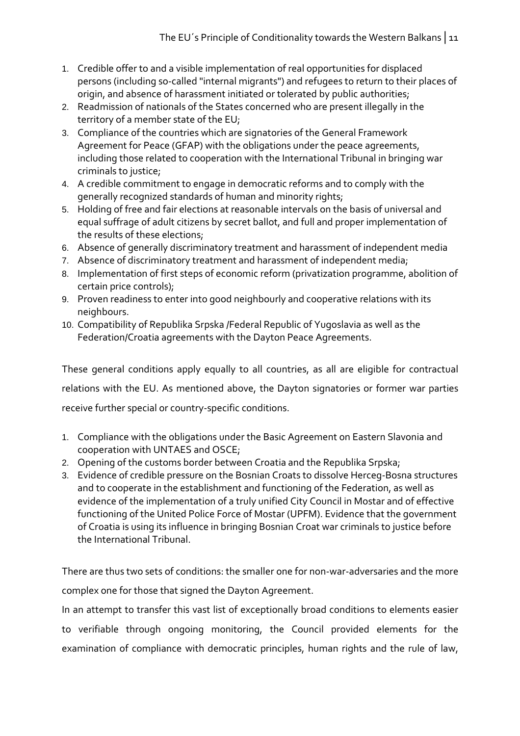- 1. Credible offer to and a visible implementation of real opportunities for displaced persons (including so-called "internal migrants") and refugees to return to their places of origin, and absence of harassment initiated or tolerated by public authorities;
- 2. Readmission of nationals of the States concerned who are present illegally in the territory of a member state of the EU;
- 3. Compliance of the countries which are signatories of the General Framework Agreement for Peace (GFAP) with the obligations under the peace agreements, including those related to cooperation with the International Tribunal in bringing war criminals to justice;
- 4. A credible commitment to engage in democratic reforms and to comply with the generally recognized standards of human and minority rights;
- 5. Holding of free and fair elections at reasonable intervals on the basis of universal and equal suffrage of adult citizens by secret ballot, and full and proper implementation of the results of these elections;
- 6. Absence of generally discriminatory treatment and harassment of independent media
- 7. Absence of discriminatory treatment and harassment of independent media;
- 8. Implementation of first steps of economic reform (privatization programme, abolition of certain price controls);
- 9. Proven readiness to enter into good neighbourly and cooperative relations with its neighbours.
- 10. Compatibility of Republika Srpska /Federal Republic of Yugoslavia as well as the Federation/Croatia agreements with the Dayton Peace Agreements.

These general conditions apply equally to all countries, as all are eligible for contractual relations with the EU. As mentioned above, the Dayton signatories or former war parties receive further special or country-specific conditions.

- 1. Compliance with the obligations under the Basic Agreement on Eastern Slavonia and cooperation with UNTAES and OSCE;
- 2. Opening of the customs border between Croatia and the Republika Srpska;
- 3. Evidence of credible pressure on the Bosnian Croats to dissolve Herceg-Bosna structures and to cooperate in the establishment and functioning of the Federation, as well as evidence of the implementation of a truly unified City Council in Mostar and of effective functioning of the United Police Force of Mostar (UPFM). Evidence that the government of Croatia is using its influence in bringing Bosnian Croat war criminals to justice before the International Tribunal.

There are thus two sets of conditions: the smaller one for non-war-adversaries and the more complex one for those that signed the Dayton Agreement.

In an attempt to transfer this vast list of exceptionally broad conditions to elements easier to verifiable through ongoing monitoring, the Council provided elements for the examination of compliance with democratic principles, human rights and the rule of law,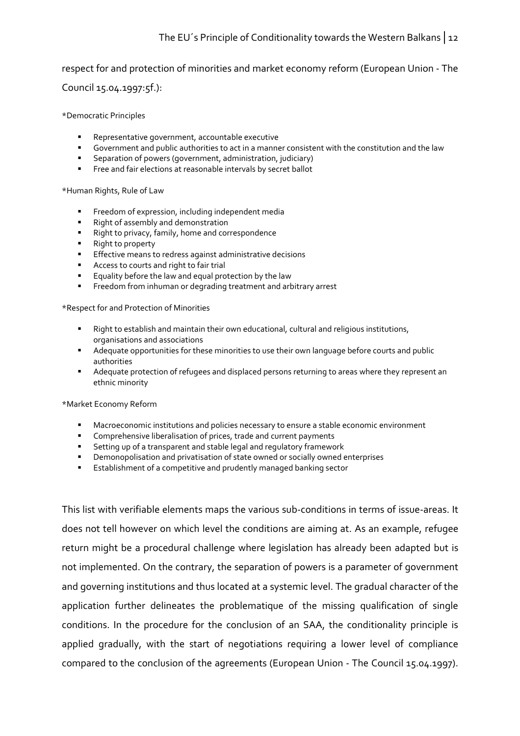#### The EU´s Principle of Conditionality towards the Western Balkans│12

#### respect for and protection of minorities and market economy reform (European Union - The

Council 15.04.1997:5f.):

\*Democratic Principles

- **Representative government, accountable executive**
- Government and public authorities to act in a manner consistent with the constitution and the law
- Separation of powers (government, administration, judiciary)
- Free and fair elections at reasonable intervals by secret ballot

#### \*Human Rights, Rule of Law

- **FILM** Freedom of expression, including independent media
- **Right of assembly and demonstration**
- Right to privacy, family, home and correspondence
- Right to property
- **Effective means to redress against administrative decisions**
- **Access to courts and right to fair trial**
- **Equality before the law and equal protection by the law**
- **FIFREED** Freedom from inhuman or degrading treatment and arbitrary arrest

\*Respect for and Protection of Minorities

- **Right to establish and maintain their own educational, cultural and religious institutions,** organisations and associations
- Adequate opportunities for these minorities to use their own language before courts and public authorities
- Adequate protection of refugees and displaced persons returning to areas where they represent an ethnic minority

\*Market Economy Reform

- Macroeconomic institutions and policies necessary to ensure a stable economic environment
- Comprehensive liberalisation of prices, trade and current payments
- Setting up of a transparent and stable legal and regulatory framework
- Demonopolisation and privatisation of state owned or socially owned enterprises
- Establishment of a competitive and prudently managed banking sector

This list with verifiable elements maps the various sub-conditions in terms of issue-areas. It does not tell however on which level the conditions are aiming at. As an example, refugee return might be a procedural challenge where legislation has already been adapted but is not implemented. On the contrary, the separation of powers is a parameter of government and governing institutions and thus located at a systemic level. The gradual character of the application further delineates the problematique of the missing qualification of single conditions. In the procedure for the conclusion of an SAA, the conditionality principle is applied gradually, with the start of negotiations requiring a lower level of compliance compared to the conclusion of the agreements (European Union - The Council 15.04.1997).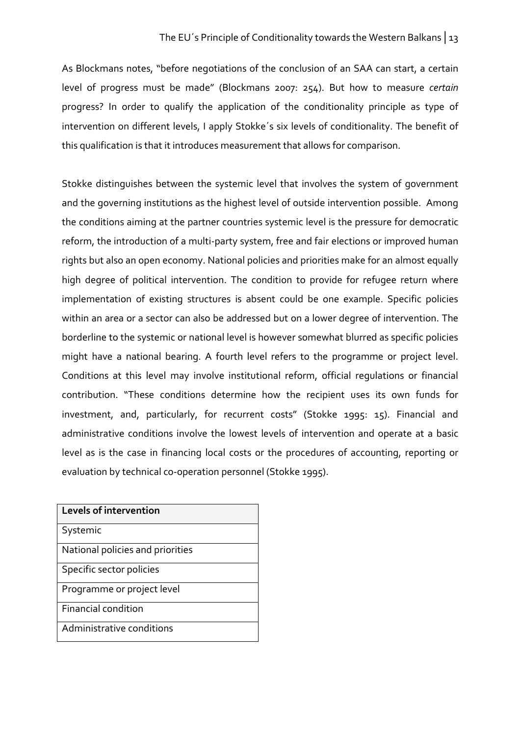As Blockmans notes, "before negotiations of the conclusion of an SAA can start, a certain level of progress must be made" (Blockmans 2007: 254). But how to measure certain progress? In order to qualify the application of the conditionality principle as type of intervention on different levels, I apply Stokke´s six levels of conditionality. The benefit of this qualification is that it introduces measurement that allows for comparison.

Stokke distinguishes between the systemic level that involves the system of government and the governing institutions as the highest level of outside intervention possible. Among the conditions aiming at the partner countries systemic level is the pressure for democratic reform, the introduction of a multi-party system, free and fair elections or improved human rights but also an open economy. National policies and priorities make for an almost equally high degree of political intervention. The condition to provide for refugee return where implementation of existing structures is absent could be one example. Specific policies within an area or a sector can also be addressed but on a lower degree of intervention. The borderline to the systemic or national level is however somewhat blurred as specific policies might have a national bearing. A fourth level refers to the programme or project level. Conditions at this level may involve institutional reform, official regulations or financial contribution. "These conditions determine how the recipient uses its own funds for investment, and, particularly, for recurrent costs" (Stokke 1995: 15). Financial and administrative conditions involve the lowest levels of intervention and operate at a basic level as is the case in financing local costs or the procedures of accounting, reporting or evaluation by technical co-operation personnel (Stokke 1995).

| <b>Levels of intervention</b>    |  |  |  |  |
|----------------------------------|--|--|--|--|
| Systemic                         |  |  |  |  |
| National policies and priorities |  |  |  |  |
| Specific sector policies         |  |  |  |  |
| Programme or project level       |  |  |  |  |
| <b>Financial condition</b>       |  |  |  |  |
| Administrative conditions        |  |  |  |  |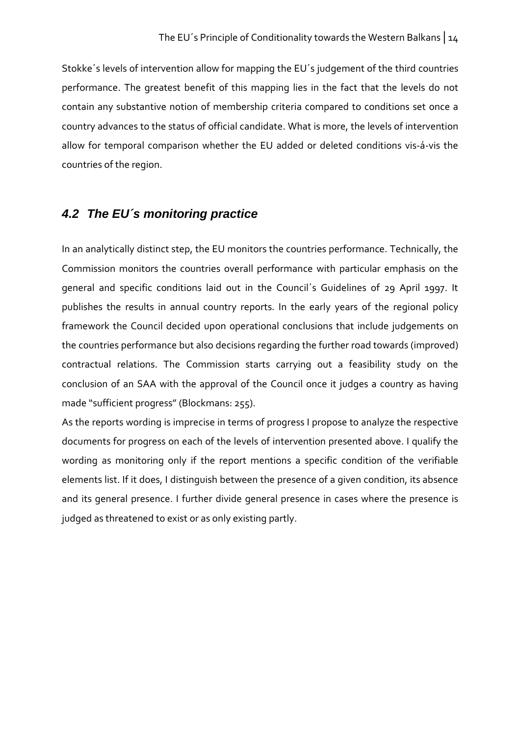Stokke´s levels of intervention allow for mapping the EU´s judgement of the third countries performance. The greatest benefit of this mapping lies in the fact that the levels do not contain any substantive notion of membership criteria compared to conditions set once a country advances to the status of official candidate. What is more, the levels of intervention allow for temporal comparison whether the EU added or deleted conditions vis-á-vis the countries of the region.

## **4.2 The EU´s monitoring practice**

In an analytically distinct step, the EU monitors the countries performance. Technically, the Commission monitors the countries overall performance with particular emphasis on the general and specific conditions laid out in the Council´s Guidelines of 29 April 1997. It publishes the results in annual country reports. In the early years of the regional policy framework the Council decided upon operational conclusions that include judgements on the countries performance but also decisions regarding the further road towards (improved) contractual relations. The Commission starts carrying out a feasibility study on the conclusion of an SAA with the approval of the Council once it judges a country as having made "sufficient progress" (Blockmans: 255).

As the reports wording is imprecise in terms of progress I propose to analyze the respective documents for progress on each of the levels of intervention presented above. I qualify the wording as monitoring only if the report mentions a specific condition of the verifiable elements list. If it does, I distinguish between the presence of a given condition, its absence and its general presence. I further divide general presence in cases where the presence is judged as threatened to exist or as only existing partly.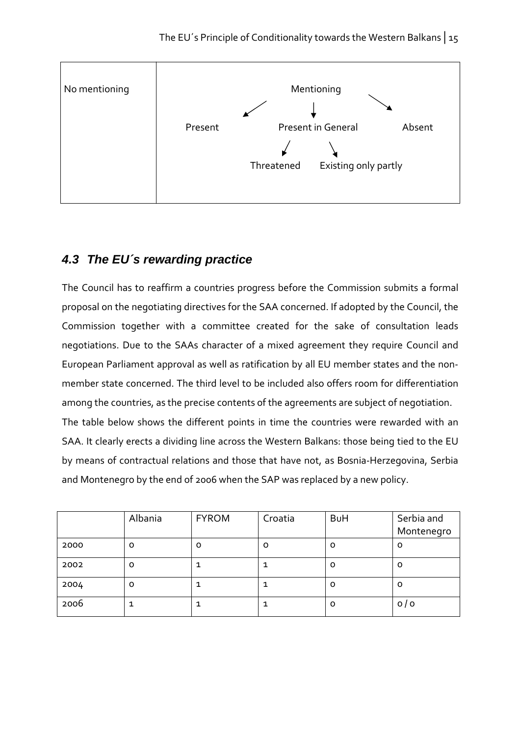

## **4.3 The EU´s rewarding practice**

The Council has to reaffirm a countries progress before the Commission submits a formal proposal on the negotiating directives for the SAA concerned. If adopted by the Council, the Commission together with a committee created for the sake of consultation leads negotiations. Due to the SAAs character of a mixed agreement they require Council and European Parliament approval as well as ratification by all EU member states and the nonmember state concerned. The third level to be included also offers room for differentiation among the countries, as the precise contents of the agreements are subject of negotiation. The table below shows the different points in time the countries were rewarded with an SAA. It clearly erects a dividing line across the Western Balkans: those being tied to the EU by means of contractual relations and those that have not, as Bosnia-Herzegovina, Serbia and Montenegro by the end of 2006 when the SAP was replaced by a new policy.

|      | Albania | <b>FYROM</b> | Croatia | <b>BuH</b> | Serbia and |
|------|---------|--------------|---------|------------|------------|
|      |         |              |         |            | Montenegro |
| 2000 | O       | o            | O       | 0          | 0          |
| 2002 | O       |              |         | o          | 0          |
| 2004 | O       |              |         | O          | 0          |
| 2006 |         |              |         | o          | 0/0        |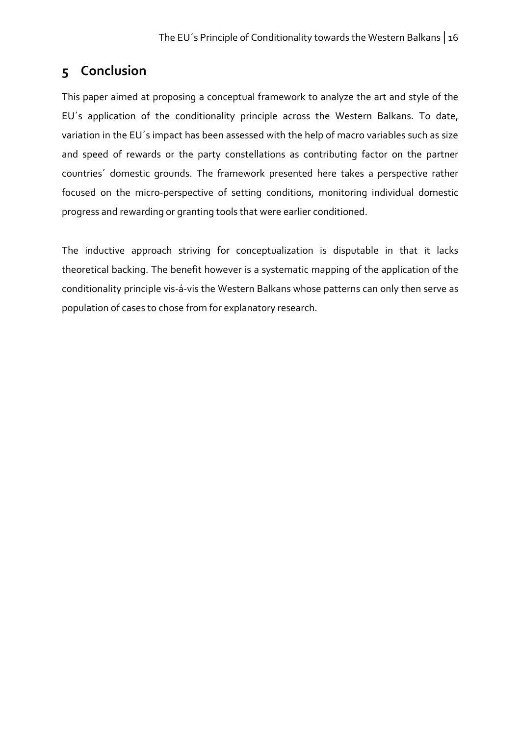## 5 Conclusion

This paper aimed at proposing a conceptual framework to analyze the art and style of the EU´s application of the conditionality principle across the Western Balkans. To date, variation in the EU´s impact has been assessed with the help of macro variables such as size and speed of rewards or the party constellations as contributing factor on the partner countries´ domestic grounds. The framework presented here takes a perspective rather focused on the micro-perspective of setting conditions, monitoring individual domestic progress and rewarding or granting tools that were earlier conditioned.

The inductive approach striving for conceptualization is disputable in that it lacks theoretical backing. The benefit however is a systematic mapping of the application of the conditionality principle vis-á-vis the Western Balkans whose patterns can only then serve as population of cases to chose from for explanatory research.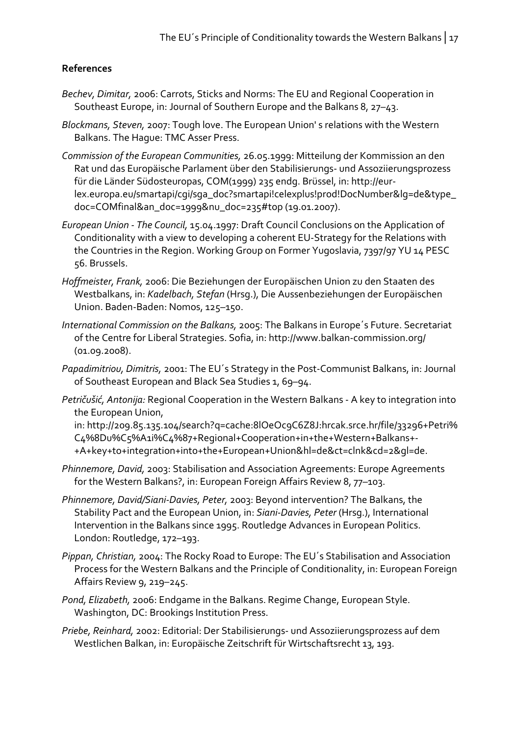#### References

- Bechev, Dimitar, 2006: Carrots, Sticks and Norms: The EU and Regional Cooperation in Southeast Europe, in: Journal of Southern Europe and the Balkans 8, 27–43.
- Blockmans, Steven, 2007: Tough love. The European Union' s relations with the Western Balkans. The Hague: TMC Asser Press.
- Commission of the European Communities, 26.05.1999: Mitteilung der Kommission an den Rat und das Europäische Parlament über den Stabilisierungs- und Assoziierungsprozess für die Länder Südosteuropas, COM(1999) 235 endg. Brüssel, in: http://eurlex.europa.eu/smartapi/cgi/sga\_doc?smartapi!celexplus!prod!DocNumber&lg=de&type\_ doc=COMfinal&an\_doc=1999&nu\_doc=235#top (19.01.2007).
- European Union The Council, 15.04.1997: Draft Council Conclusions on the Application of Conditionality with a view to developing a coherent EU-Strategy for the Relations with the Countries in the Region. Working Group on Former Yugoslavia, 7397/97 YU 14 PESC 56. Brussels.
- Hoffmeister, Frank, 2006: Die Beziehungen der Europäischen Union zu den Staaten des Westbalkans, in: Kadelbach, Stefan (Hrsg.), Die Aussenbeziehungen der Europäischen Union. Baden-Baden: Nomos, 125–150.
- International Commission on the Balkans, 2005: The Balkans in Europe´s Future. Secretariat of the Centre for Liberal Strategies. Sofia, in: http://www.balkan-commission.org/ (01.09.2008).
- Papadimitriou, Dimitris, 2001: The EU´s Strategy in the Post-Communist Balkans, in: Journal of Southeast European and Black Sea Studies 1, 69–94.
- Petričušić, Antonija: Regional Cooperation in the Western Balkans A key to integration into the European Union,

in: http://209.85.135.104/search?q=cache:8lOeOc9C6Z8J:hrcak.srce.hr/file/33296+Petri% C4%8Du%C5%A1i%C4%87+Regional+Cooperation+in+the+Western+Balkans+- +A+key+to+integration+into+the+European+Union&hl=de&ct=clnk&cd=2&gl=de.

- Phinnemore, David, 2003: Stabilisation and Association Agreements: Europe Agreements for the Western Balkans?, in: European Foreign Affairs Review 8, 77–103.
- Phinnemore, David/Siani-Davies, Peter, 2003: Beyond intervention? The Balkans, the Stability Pact and the European Union, in: Siani-Davies, Peter (Hrsg.), International Intervention in the Balkans since 1995. Routledge Advances in European Politics. London: Routledge, 172–193.
- Pippan, Christian, 2004: The Rocky Road to Europe: The EU´s Stabilisation and Association Process for the Western Balkans and the Principle of Conditionality, in: European Foreign Affairs Review 9, 219–245.
- Pond, Elizabeth, 2006: Endgame in the Balkans. Regime Change, European Style. Washington, DC: Brookings Institution Press.
- Priebe, Reinhard, 2002: Editorial: Der Stabilisierungs- und Assoziierungsprozess auf dem Westlichen Balkan, in: Europäische Zeitschrift für Wirtschaftsrecht 13, 193.